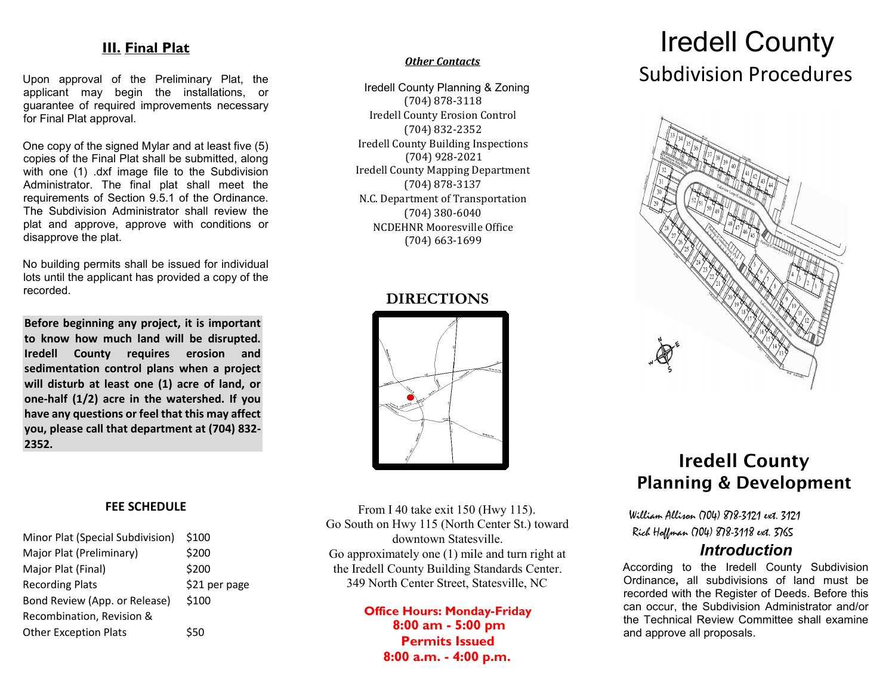## **III. Final Plat**

Upon approval of the Preliminary Plat, the applicant may begin the installations, or guarantee of required improvements necessary for Final Plat approval.

One copy of the signed Mylar and at least five (5) copies of the Final Plat shall be submitted, along with one (1) .dxf image file to the Subdivision Administrator. The final plat shall meet the requirements of Section 9.5.1 of the Ordinance. The Subdivision Administrator shall review the plat and approve, approve with conditions or disapprove the plat.

No building permits shall be issued for individual lots until the applicant has provided a copy of the recorded.

**Before beginning any project, it is important to know how much land will be disrupted. Iredell County requires erosion and sedimentation control plans when a project will disturb at least one (1) acre of land, or one-half (1/2) acre in the watershed. If you have any questions or feel that this may affect you, please call that department at (704) 832- 2352.** 

### **FEE SCHEDULE**

| Minor Plat (Special Subdivision) | \$100         |
|----------------------------------|---------------|
| Major Plat (Preliminary)         | \$200         |
| Major Plat (Final)               | \$200         |
| <b>Recording Plats</b>           | \$21 per page |
| Bond Review (App. or Release)    | \$100         |
| Recombination, Revision &        |               |
| <b>Other Exception Plats</b>     | \$50          |

#### *Other Contacts*

Iredell County Planning & Zoning (704) 878-3118 Iredell County Erosion Control (704) 832-2352 Iredell County Building Inspections (704) 928-2021 Iredell County Mapping Department (704) 878-3137 N.C. Department of Transportation (704) 380-6040 NCDEHNR Mooresville Office (704) 663-1699

## **DIRECTIONS**



From I 40 take exit 150 (Hwy 115). Go South on Hwy 115 (North Center St.) toward downtown Statesville. Go approximately one (1) mile and turn right at the Iredell County Building Standards Center. 349 North Center Street, Statesville, NC

> **Office Hours: Monday-Friday 8:00 am - 5:00 pm Permits Issued 8:00 a.m. - 4:00 p.m.**

# Iredell County Subdivision Procedures



## Iredell County Planning & Development

 William Allison (704) 878-3121 ext. 3121 Rich Hoffman (704) 878-3118 ext. 3765

## *Introduction*

According to the Iredell County Subdivision Ordinance**,** all subdivisions of land must be recorded with the Register of Deeds. Before this can occur, the Subdivision Administrator and/or the Technical Review Committee shall examine and approve all proposals.